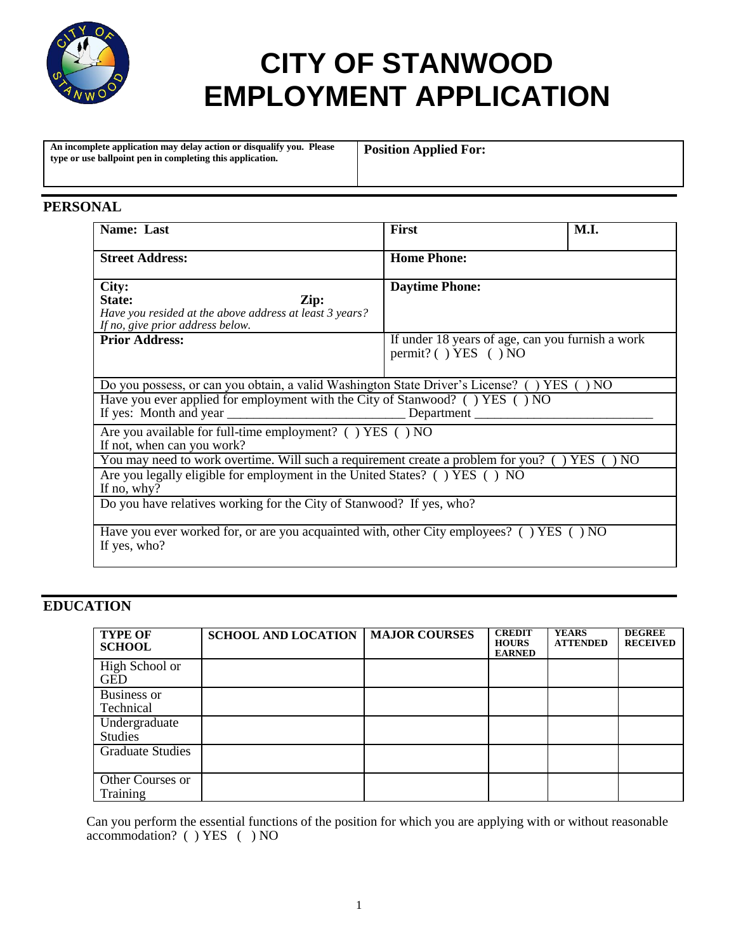

# **CITY OF STANWOOD EMPLOYMENT APPLICATION**

**An incomplete application may delay action or disqualify you. Please type or use ballpoint pen in completing this application.**

**Position Applied For:**

#### **PERSONAL**

| Name: Last                                                                                                             | First                                                                          | M.I. |
|------------------------------------------------------------------------------------------------------------------------|--------------------------------------------------------------------------------|------|
| <b>Street Address:</b>                                                                                                 | <b>Home Phone:</b>                                                             |      |
| City:<br>State:<br>Zip:<br>Have you resided at the above address at least 3 years?<br>If no, give prior address below. | <b>Daytime Phone:</b>                                                          |      |
| <b>Prior Address:</b>                                                                                                  | If under 18 years of age, can you furnish a work<br>permit? $( )$ YES $( )$ NO |      |
| Do you possess, or can you obtain, a valid Washington State Driver's License? () YES                                   |                                                                                | NO   |
| Have you ever applied for employment with the City of Stanwood? () YES () NO                                           |                                                                                |      |
| Are you available for full-time employment? () YES () NO<br>If not, when can you work?                                 |                                                                                |      |
| You may need to work overtime. Will such a requirement create a problem for you? () YES () NO                          |                                                                                |      |
| Are you legally eligible for employment in the United States? () YES () NO<br>If no, why?                              |                                                                                |      |
| Do you have relatives working for the City of Stanwood? If yes, who?                                                   |                                                                                |      |
| Have you ever worked for, or are you acquainted with, other City employees? () YES () NO<br>If yes, who?               |                                                                                |      |

#### **EDUCATION**

| <b>TYPE OF</b><br><b>SCHOOL</b>           | <b>SCHOOL AND LOCATION</b> | <b>MAJOR COURSES</b> | <b>CREDIT</b><br><b>HOURS</b><br><b>EARNED</b> | <b>YEARS</b><br><b>ATTENDED</b> | <b>DEGREE</b><br><b>RECEIVED</b> |
|-------------------------------------------|----------------------------|----------------------|------------------------------------------------|---------------------------------|----------------------------------|
| High School $\overline{or}$<br><b>GED</b> |                            |                      |                                                |                                 |                                  |
| <b>Business or</b><br>Technical           |                            |                      |                                                |                                 |                                  |
| Undergraduate<br><b>Studies</b>           |                            |                      |                                                |                                 |                                  |
| <b>Graduate Studies</b>                   |                            |                      |                                                |                                 |                                  |
| Other Courses or<br>Training              |                            |                      |                                                |                                 |                                  |

Can you perform the essential functions of the position for which you are applying with or without reasonable accommodation? ( ) YES ( ) NO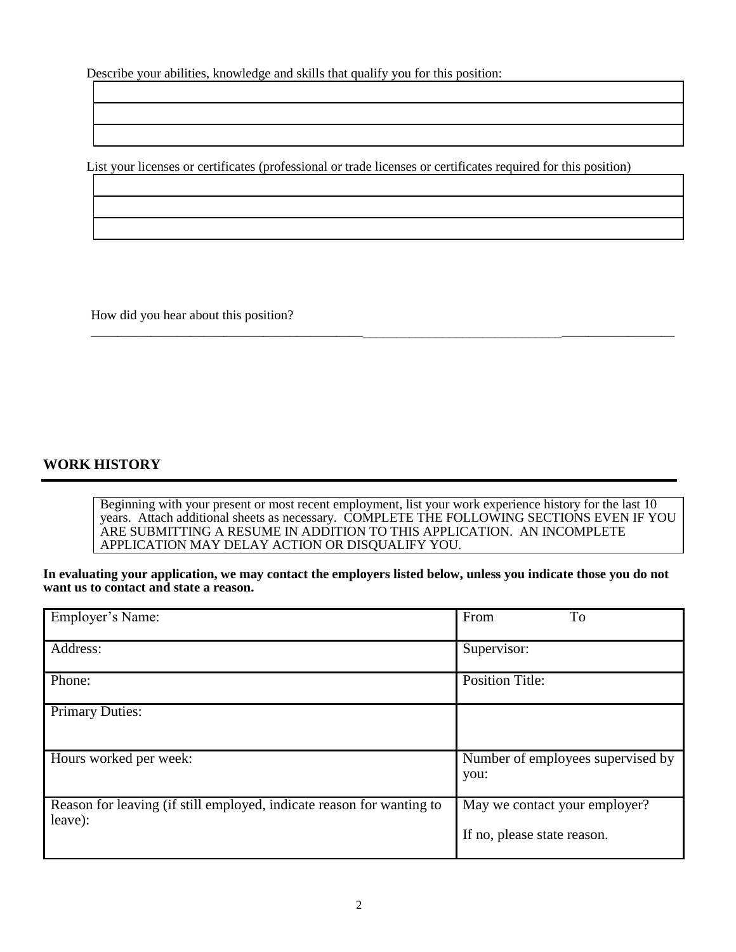Describe your abilities, knowledge and skills that qualify you for this position:

List your licenses or certificates (professional or trade licenses or certificates required for this position)

How did you hear about this position?

#### **WORK HISTORY**

Beginning with your present or most recent employment, list your work experience history for the last 10 years. Attach additional sheets as necessary. COMPLETE THE FOLLOWING SECTIONS EVEN IF YOU ARE SUBMITTING A RESUME IN ADDITION TO THIS APPLICATION. AN INCOMPLETE APPLICATION MAY DELAY ACTION OR DISQUALIFY YOU.

\_\_\_\_\_\_\_\_\_\_\_\_\_\_\_\_\_\_\_\_\_\_\_\_\_\_\_\_\_\_\_\_\_\_\_\_\_\_\_\_\_\_\_\_\_\_\_\_\_\_\_\_\_\_\_\_\_\_\_\_\_\_\_\_\_\_\_\_\_\_\_\_\_\_\_\_\_\_\_\_\_\_\_\_\_\_\_\_

**In evaluating your application, we may contact the employers listed below, unless you indicate those you do not want us to contact and state a reason.** 

| Employer's Name:                                                                 | From<br>To                                                   |
|----------------------------------------------------------------------------------|--------------------------------------------------------------|
| Address:                                                                         | Supervisor:                                                  |
| Phone:                                                                           | <b>Position Title:</b>                                       |
| <b>Primary Duties:</b>                                                           |                                                              |
| Hours worked per week:                                                           | Number of employees supervised by<br>you:                    |
| Reason for leaving (if still employed, indicate reason for wanting to<br>leave): | May we contact your employer?<br>If no, please state reason. |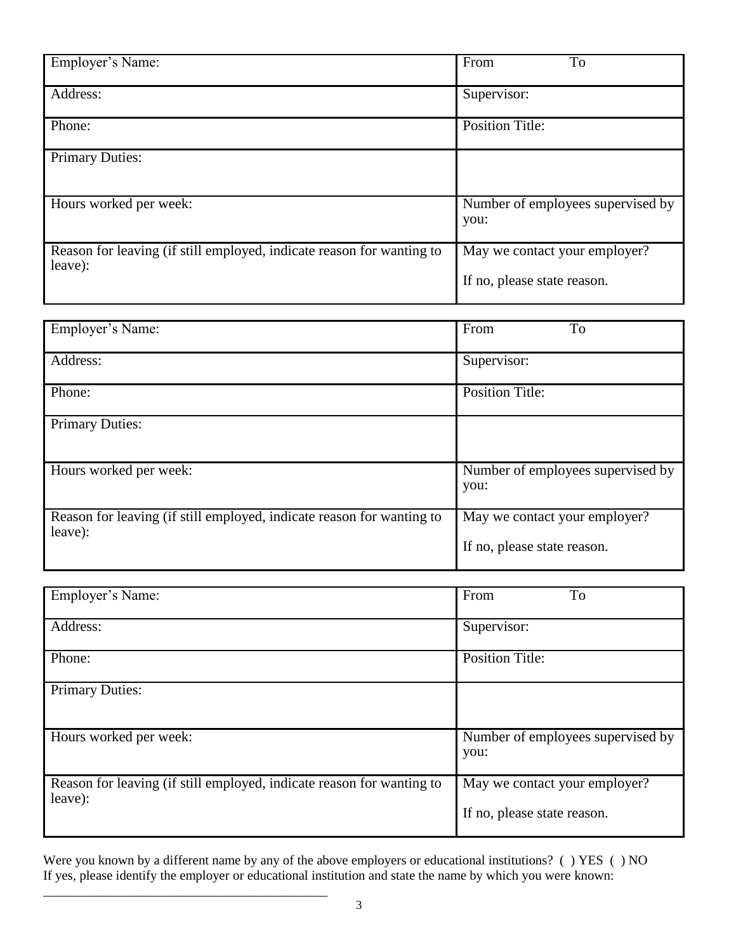| Employer's Name:                                                                 | From<br>To                                                   |
|----------------------------------------------------------------------------------|--------------------------------------------------------------|
| Address:                                                                         | Supervisor:                                                  |
| Phone:                                                                           | <b>Position Title:</b>                                       |
| <b>Primary Duties:</b>                                                           |                                                              |
| Hours worked per week:                                                           | Number of employees supervised by<br>you:                    |
| Reason for leaving (if still employed, indicate reason for wanting to<br>leave): | May we contact your employer?<br>If no, please state reason. |

| Employer's Name:                                                      | To<br>From                        |
|-----------------------------------------------------------------------|-----------------------------------|
|                                                                       |                                   |
| Address:                                                              | Supervisor:                       |
|                                                                       |                                   |
| Phone:                                                                | <b>Position Title:</b>            |
|                                                                       |                                   |
| <b>Primary Duties:</b>                                                |                                   |
|                                                                       |                                   |
|                                                                       |                                   |
| Hours worked per week:                                                | Number of employees supervised by |
|                                                                       | you:                              |
|                                                                       |                                   |
| Reason for leaving (if still employed, indicate reason for wanting to | May we contact your employer?     |
| leave):                                                               |                                   |
|                                                                       | If no, please state reason.       |
|                                                                       |                                   |

| Employer's Name:                                                                 | From<br>To                                                   |
|----------------------------------------------------------------------------------|--------------------------------------------------------------|
| Address:                                                                         | Supervisor:                                                  |
| Phone:                                                                           | <b>Position Title:</b>                                       |
| <b>Primary Duties:</b>                                                           |                                                              |
| Hours worked per week:                                                           | Number of employees supervised by<br>you:                    |
| Reason for leaving (if still employed, indicate reason for wanting to<br>leave): | May we contact your employer?<br>If no, please state reason. |

Were you known by a different name by any of the above employers or educational institutions? ( ) YES ( ) NO If yes, please identify the employer or educational institution and state the name by which you were known:

\_\_\_\_\_\_\_\_\_\_\_\_\_\_\_\_\_\_\_\_\_\_\_\_\_\_\_\_\_\_\_\_\_\_\_\_\_\_\_\_\_\_\_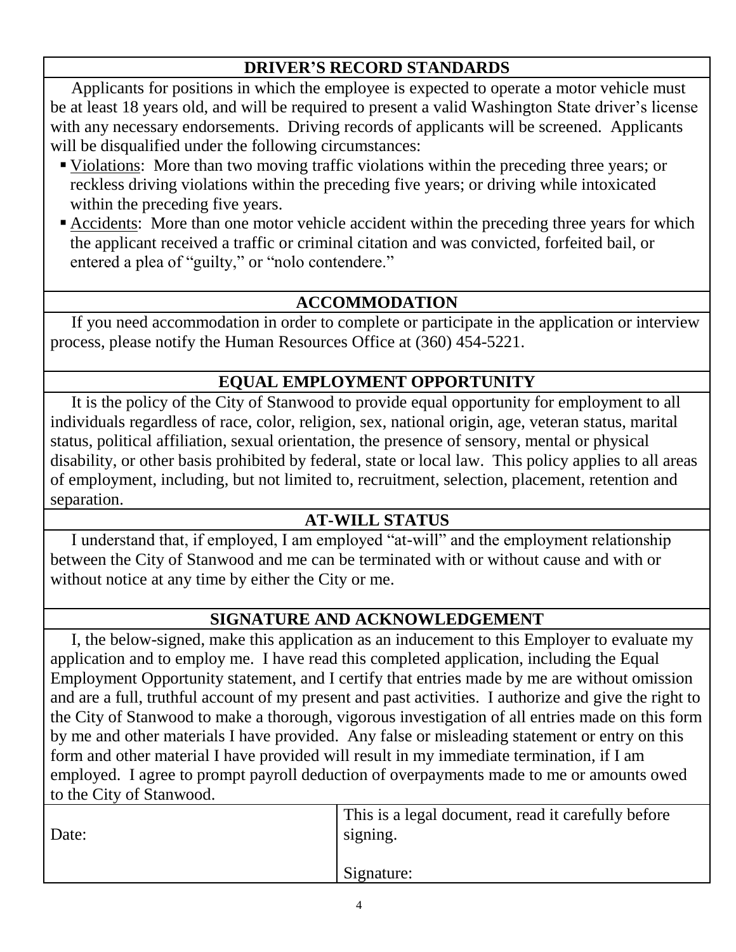### **DRIVER'S RECORD STANDARDS**

 Applicants for positions in which the employee is expected to operate a motor vehicle must be at least 18 years old, and will be required to present a valid Washington State driver's license with any necessary endorsements. Driving records of applicants will be screened. Applicants will be disqualified under the following circumstances:

- Violations: More than two moving traffic violations within the preceding three years; or reckless driving violations within the preceding five years; or driving while intoxicated within the preceding five years.
- Accidents: More than one motor vehicle accident within the preceding three years for which the applicant received a traffic or criminal citation and was convicted, forfeited bail, or entered a plea of "guilty," or "nolo contendere."

### **ACCOMMODATION**

 If you need accommodation in order to complete or participate in the application or interview process, please notify the Human Resources Office at (360) 454-5221.

## **EQUAL EMPLOYMENT OPPORTUNITY**

 It is the policy of the City of Stanwood to provide equal opportunity for employment to all individuals regardless of race, color, religion, sex, national origin, age, veteran status, marital status, political affiliation, sexual orientation, the presence of sensory, mental or physical disability, or other basis prohibited by federal, state or local law. This policy applies to all areas of employment, including, but not limited to, recruitment, selection, placement, retention and separation.

## **AT-WILL STATUS**

 I understand that, if employed, I am employed "at-will" and the employment relationship between the City of Stanwood and me can be terminated with or without cause and with or without notice at any time by either the City or me.

#### **SIGNATURE AND ACKNOWLEDGEMENT**

 I, the below-signed, make this application as an inducement to this Employer to evaluate my application and to employ me. I have read this completed application, including the Equal Employment Opportunity statement, and I certify that entries made by me are without omission and are a full, truthful account of my present and past activities. I authorize and give the right to the City of Stanwood to make a thorough, vigorous investigation of all entries made on this form by me and other materials I have provided. Any false or misleading statement or entry on this form and other material I have provided will result in my immediate termination, if I am employed. I agree to prompt payroll deduction of overpayments made to me or amounts owed to the City of Stanwood.

| Date: | This is a legal document, read it carefully before<br>signing. |
|-------|----------------------------------------------------------------|
|       | Signature:                                                     |
|       |                                                                |